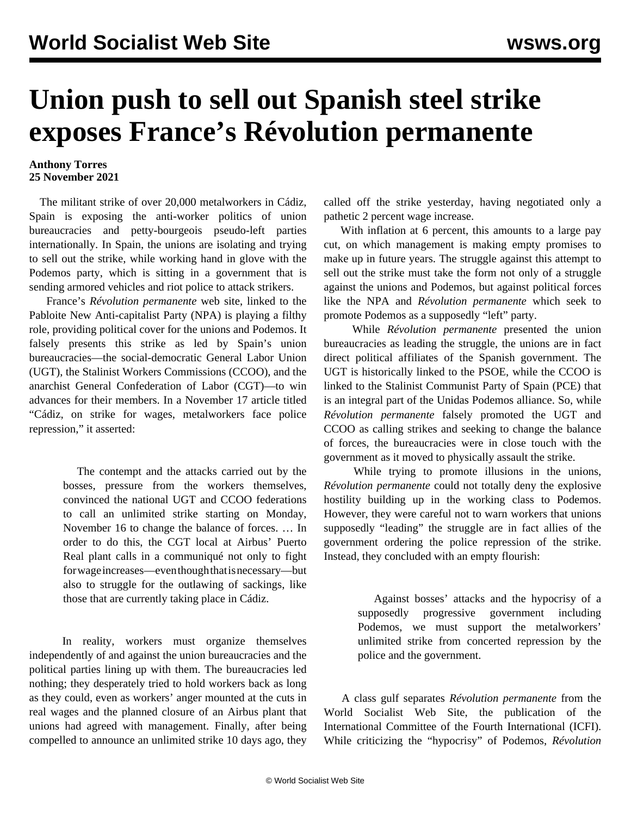## **Union push to sell out Spanish steel strike exposes France's Révolution permanente**

## **Anthony Torres 25 November 2021**

 The militant strike of over 20,000 metalworkers in Cádiz, Spain is exposing the anti-worker politics of union bureaucracies and petty-bourgeois pseudo-left parties internationally. In Spain, the unions are isolating and trying to sell out the strike, while working hand in glove with the Podemos party, which is sitting in a government that is sending armored vehicles and riot police to attack strikers.

 France's *Révolution permanente* web site, linked to the Pabloite New Anti-capitalist Party (NPA) is playing a filthy role, providing political cover for the unions and Podemos. It falsely presents this strike as led by Spain's union bureaucracies—the social-democratic General Labor Union (UGT), the Stalinist Workers Commissions (CCOO), and the anarchist General Confederation of Labor (CGT)—to win advances for their members. In a November 17 article titled "Cádiz, on strike for wages, metalworkers face police repression," it asserted:

> The contempt and the attacks carried out by the bosses, pressure from the workers themselves, convinced the national UGT and CCOO federations to call an unlimited strike starting on Monday, November 16 to change the balance of forces. … In order to do this, the CGT local at Airbus' Puerto Real plant calls in a communiqué not only to fight for wage increases—even though that is necessary—but also to struggle for the outlawing of sackings, like those that are currently taking place in Cádiz.

 In reality, workers must organize themselves independently of and against the union bureaucracies and the political parties lining up with them. The bureaucracies led nothing; they desperately tried to hold workers back as long as they could, even as workers' anger mounted at the cuts in real wages and the planned closure of an Airbus plant that unions had agreed with management. Finally, after being compelled to announce an unlimited strike 10 days ago, they

called off the strike yesterday, having negotiated only a pathetic 2 percent wage increase.

 With inflation at 6 percent, this amounts to a large pay cut, on which management is making empty promises to make up in future years. The struggle against this attempt to sell out the strike must take the form not only of a struggle against the unions and Podemos, but against political forces like the NPA and *Révolution permanente* which seek to promote Podemos as a supposedly "left" party.

 While *Révolution permanente* presented the union bureaucracies as leading the struggle, the unions are in fact direct political affiliates of the Spanish government. The UGT is historically linked to the PSOE, while the CCOO is linked to the Stalinist Communist Party of Spain (PCE) that is an integral part of the Unidas Podemos alliance. So, while *Révolution permanente* falsely promoted the UGT and CCOO as calling strikes and seeking to change the balance of forces, the bureaucracies were in close touch with the government as it moved to physically assault the strike.

 While trying to promote illusions in the unions, *Révolution permanente* could not totally deny the explosive hostility building up in the working class to Podemos. However, they were careful not to warn workers that unions supposedly "leading" the struggle are in fact allies of the government ordering the police repression of the strike. Instead, they concluded with an empty flourish:

> Against bosses' attacks and the hypocrisy of a supposedly progressive government including Podemos, we must support the metalworkers' unlimited strike from concerted repression by the police and the government.

 A class gulf separates *Révolution permanente* from the World Socialist Web Site, the publication of the International Committee of the Fourth International (ICFI). While criticizing the "hypocrisy" of Podemos, *Révolution*